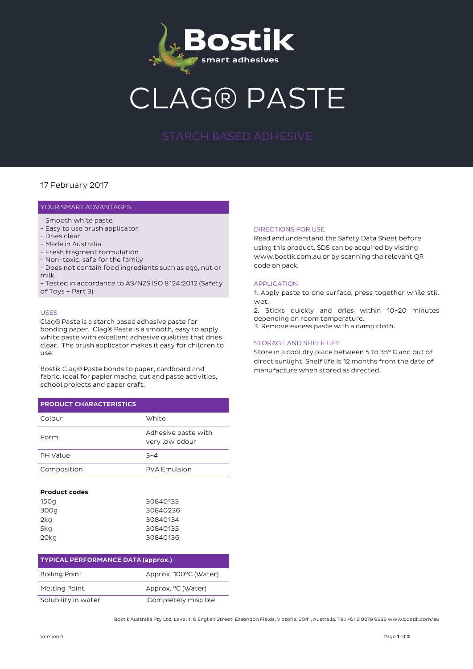

# G® PASTE

### 17 February 2017

#### YOUR SMART ADVANTAGES

- Smooth white paste
- Easy to use brush applicator
- Dries clear
- Made in Australia
- Fresh fragment formulation
- Non-toxic, safe for the family
- Does not contain food ingredients such as egg, nut or milk.

- Tested in accordance to AS/NZS ISO 8124:2012 (Safety of Toys – Part 3)

#### USES

Clag® Paste is a starch based adhesive paste for bonding paper. Clag® Paste is a smooth, easy to apply white paste with excellent adhesive qualities that dries clear. The brush applicator makes it easy for children to use.

Bostik Clag® Paste bonds to paper, cardboard and fabric. Ideal for papier mache, cut and paste activities, school projects and paper craft.

## **PRODUCT CHARACTERISTICS**

| Colour      | White                                 |
|-------------|---------------------------------------|
| Form        | Adhesive paste with<br>very low odour |
| PH Value    | $-4$                                  |
| Composition | <b>PVA Emulsion</b>                   |

#### **Product codes**

| 150g | 30840133 |
|------|----------|
| 300g | 30840236 |
| 2kg  | 30840134 |
| 5kg  | 30840135 |
| 20kg | 30840136 |

| <b>TYPICAL PERFORMANCE DATA (approx.)</b> |                       |
|-------------------------------------------|-----------------------|
| <b>Boiling Point</b>                      | Approx. 100°C (Water) |
| Melting Point                             | Approx. °C (Water)    |
| Solubility in water                       | Completely miscible   |

#### DIRECTIONS FOR USE

Read and understand the Safety Data Sheet before using this product. SDS can be acquired by visiting www.bostik.com.au or by scanning the relevant QR code on pack.

#### APPLICATION

1. Apply paste to one surface, press together while still wet.

2. Sticks quickly and dries within 10-20 minutes depending on room temperature.

3. Remove excess paste with a damp cloth.

#### STORAGE AND SHELF LIFE

Store in a cool dry place between 5 to 35° C and out of direct sunlight. Shelf life Is 12 months from the date of manufacture when stored as directed.

Bostik Australia Pty Ltd, Level 1, 6 English Street, Essendon Fields, Victoria, 3041, Australia. Tel: +61 3 9279 9333 www.bostik.com/au